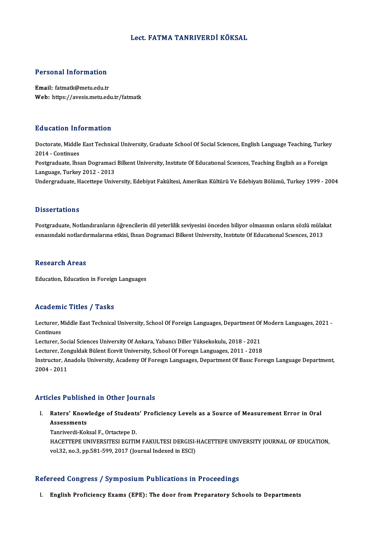### Lect. FATMA TANRIVERDİ KÖKSAL

#### Personal Information

Email: fatmatk@metu.edu.tr Web: https://avesis.metu.edu.tr/fatmatk

#### Education Information

Education Information<br>Doctorate, Middle East Technical University, Graduate School Of Social Sciences, English Language Teaching, Turkey<br>2014 - Continues 2016 -Continues<br>2014 - Continues<br>Postareduate lhe Doctorate, Middle East Technical University, Graduate School Of Social Sciences, English Language Teaching, Turkey<br>2014 - Continues<br>Postgraduate, Ihsan Dogramaci Bilkent University, Institute Of Educational Sciences, Teach 2014 - Continues<br>Postgraduate, Ihsan Dogramaci<br>Language, Turkey 2012 - 2013<br>Undergraduate, Hecettene Univ Postgraduate, Ihsan Dogramaci Bilkent University, Institute Of Educational Sciences, Teaching English as a Foreign<br>Language, Turkey 2012 - 2013<br>Undergraduate, Hacettepe University, Edebiyat Fakültesi, Amerikan Kültürü Ve E Undergraduate, Hacettepe University, Edebiyat Fakültesi, Amerikan Kültürü Ve Edebiyatı Bölümü, Turkey 1999 - 2004<br>Dissertations

Dissertations<br>Postgraduate, Notlandıranların öğrencilerin dil yeterlilik seviyesini önceden biliyor olmasının onların sözlü mülakat<br>espesindeki notlandırmalarına etkişi, İbean Desremasi Bilkant University Institute Of Edus e isseer tatrens<br>Postgraduate, Notlandıranların öğrencilerin dil yeterlilik seviyesini önceden biliyor olmasının onların sözlü mülal<br>esnasındaki notlardırmalarına etkisi, Ihsan Dogramaci Bilkent University, Instıtute Of Ed esnasındaki notlardırmalarına etkisi, Ihsan Dogramaci Bilkent University, Institute Of Educational Sciences, 2013<br>Research Areas

Education, Education in Foreign Languages

### Academic Titles / Tasks

**Academic Titles / Tasks**<br>Lecturer, Middle East Technical University, School Of Foreign Languages, Department Of Modern Languages, 2021 -<br>Continues Lecturer, N<br>Continues<br>Lecturer S Lecturer, Middle East Technical University, School Of Foreign Languages, Department Of<br>Continues<br>Lecturer, Social Sciences University Of Ankara, Yabancı Diller Yüksekokulu, 2018 - 2021<br>Lecturer, Zonguldak Bülent Essuit Uni

Continues<br>Lecturer, Social Sciences University Of Ankara, Yabancı Diller Yüksekokulu, 2018 - 2021<br>Lecturer, Zonguldak Bülent Ecevit University, School Of Foreıgn Languages, 2011 - 2018

Lecturer, Social Sciences University Of Ankara, Yabancı Diller Yüksekokulu, 2018 - 2021<br>Lecturer, Zonguldak Bülent Ecevit University, School Of Foreıgn Languages, 2011 - 2018<br>Instructor, Anadolu University, Academy Of Fore Lecturer, Zor<br>Instructor, A1<br>2004 - 2011

# Articles Published in Other Journals

rticles Published in Other Journals<br>I. Raters' Knowledge of Students' Proficiency Levels as a Source of Measurement Error in Oral<br>Assossments Assessments<br>Raters' Know<br>Assessments<br>Tenriverdi Kol Raters' Knowledge of Student:<br>Assessments<br>Tanriverdi-Koksal F., Ortactepe D.<br>HACETTEDE UNIVERSITESI ECITIN

Assessments<br>Tanriverdi-Koksal F., Ortactepe D.<br>HACETTEPE UNIVERSITESI EGITIM FAKULTESI DERGISI-HACETTEPE UNIVERSITY JOURNAL OF EDUCATION,<br>VRL33, PR.3, PR.581, 599, 3917 (Journal Indoved in ESC). Tanriverdi-Koksal F., Ortactepe D.<br>HACETTEPE UNIVERSITESI EGITIM FAKULTESI DERGISI-<br>vol.32, no.3, pp.581-599, 2017 (Journal Indexed in ESCI)

# vol.32, no.3, pp.581-599, 2017 (Journal Indexed in ESCI)<br>Refereed Congress / Symposium Publications in Proceedings

I. English Proficiency Exams (EPE): The door from Preparatory Schools to Departments